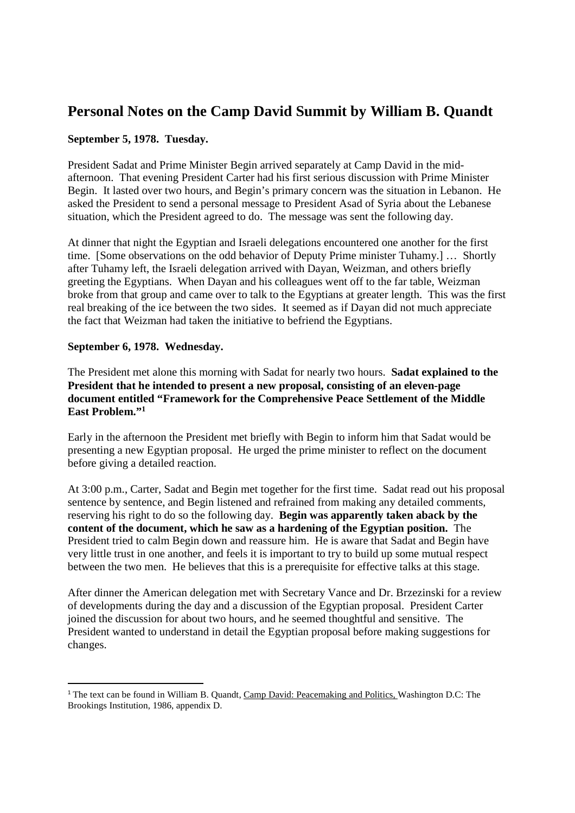# **Personal Notes on the Camp David Summit by William B. Quandt**

## **September 5, 1978. Tuesday.**

President Sadat and Prime Minister Begin arrived separately at Camp David in the midafternoon. That evening President Carter had his first serious discussion with Prime Minister Begin. It lasted over two hours, and Begin's primary concern was the situation in Lebanon. He asked the President to send a personal message to President Asad of Syria about the Lebanese situation, which the President agreed to do. The message was sent the following day.

At dinner that night the Egyptian and Israeli delegations encountered one another for the first time. [Some observations on the odd behavior of Deputy Prime minister Tuhamy.] … Shortly after Tuhamy left, the Israeli delegation arrived with Dayan, Weizman, and others briefly greeting the Egyptians. When Dayan and his colleagues went off to the far table, Weizman broke from that group and came over to talk to the Egyptians at greater length. This was the first real breaking of the ice between the two sides. It seemed as if Dayan did not much appreciate the fact that Weizman had taken the initiative to befriend the Egyptians.

## **September 6, 1978. Wednesday.**

 $\overline{a}$ 

The President met alone this morning with Sadat for nearly two hours. **Sadat explained to the President that he intended to present a new proposal, consisting of an eleven-page document entitled "Framework for the Comprehensive Peace Settlement of the Middle East Problem."<sup>1</sup>**

Early in the afternoon the President met briefly with Begin to inform him that Sadat would be presenting a new Egyptian proposal. He urged the prime minister to reflect on the document before giving a detailed reaction.

At 3:00 p.m., Carter, Sadat and Begin met together for the first time. Sadat read out his proposal sentence by sentence, and Begin listened and refrained from making any detailed comments, reserving his right to do so the following day. **Begin was apparently taken aback by the content of the document, which he saw as a hardening of the Egyptian position.** The President tried to calm Begin down and reassure him. He is aware that Sadat and Begin have very little trust in one another, and feels it is important to try to build up some mutual respect between the two men. He believes that this is a prerequisite for effective talks at this stage.

After dinner the American delegation met with Secretary Vance and Dr. Brzezinski for a review of developments during the day and a discussion of the Egyptian proposal. President Carter joined the discussion for about two hours, and he seemed thoughtful and sensitive. The President wanted to understand in detail the Egyptian proposal before making suggestions for changes.

<sup>&</sup>lt;sup>1</sup> The text can be found in William B. Quandt, *Camp David: Peacemaking and Politics*, Washington D.C: The Brookings Institution, 1986, appendix D.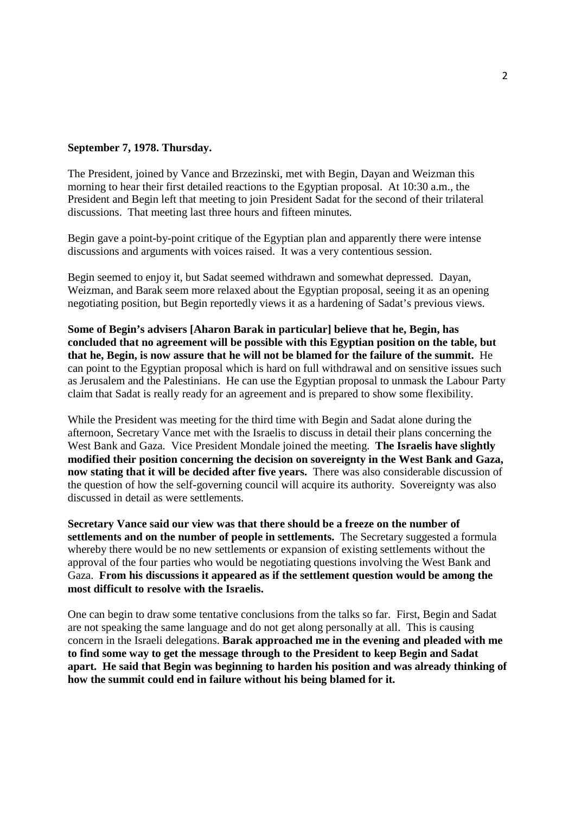#### **September 7, 1978. Thursday.**

The President, joined by Vance and Brzezinski, met with Begin, Dayan and Weizman this morning to hear their first detailed reactions to the Egyptian proposal. At 10:30 a.m., the President and Begin left that meeting to join President Sadat for the second of their trilateral discussions. That meeting last three hours and fifteen minutes.

Begin gave a point-by-point critique of the Egyptian plan and apparently there were intense discussions and arguments with voices raised. It was a very contentious session.

Begin seemed to enjoy it, but Sadat seemed withdrawn and somewhat depressed. Dayan, Weizman, and Barak seem more relaxed about the Egyptian proposal, seeing it as an opening negotiating position, but Begin reportedly views it as a hardening of Sadat's previous views.

**Some of Begin's advisers [Aharon Barak in particular] believe that he, Begin, has concluded that no agreement will be possible with this Egyptian position on the table, but that he, Begin, is now assure that he will not be blamed for the failure of the summit.** He can point to the Egyptian proposal which is hard on full withdrawal and on sensitive issues such as Jerusalem and the Palestinians. He can use the Egyptian proposal to unmask the Labour Party claim that Sadat is really ready for an agreement and is prepared to show some flexibility.

While the President was meeting for the third time with Begin and Sadat alone during the afternoon, Secretary Vance met with the Israelis to discuss in detail their plans concerning the West Bank and Gaza. Vice President Mondale joined the meeting. **The Israelis have slightly modified their position concerning the decision on sovereignty in the West Bank and Gaza, now stating that it will be decided after five years.** There was also considerable discussion of the question of how the self-governing council will acquire its authority. Sovereignty was also discussed in detail as were settlements.

**Secretary Vance said our view was that there should be a freeze on the number of settlements and on the number of people in settlements.** The Secretary suggested a formula whereby there would be no new settlements or expansion of existing settlements without the approval of the four parties who would be negotiating questions involving the West Bank and Gaza. **From his discussions it appeared as if the settlement question would be among the most difficult to resolve with the Israelis.** 

One can begin to draw some tentative conclusions from the talks so far. First, Begin and Sadat are not speaking the same language and do not get along personally at all. This is causing concern in the Israeli delegations. **Barak approached me in the evening and pleaded with me to find some way to get the message through to the President to keep Begin and Sadat apart. He said that Begin was beginning to harden his position and was already thinking of how the summit could end in failure without his being blamed for it.**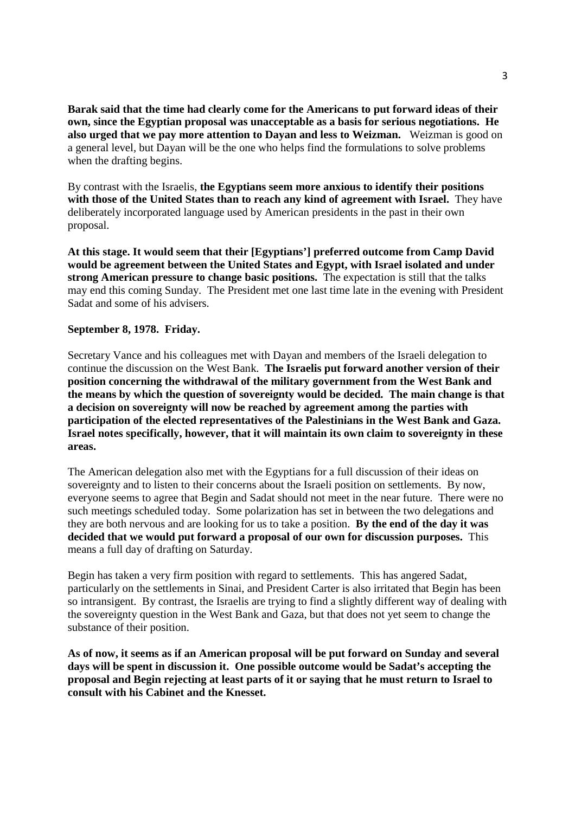**Barak said that the time had clearly come for the Americans to put forward ideas of their own, since the Egyptian proposal was unacceptable as a basis for serious negotiations. He also urged that we pay more attention to Dayan and less to Weizman.** Weizman is good on a general level, but Dayan will be the one who helps find the formulations to solve problems when the drafting begins.

By contrast with the Israelis, **the Egyptians seem more anxious to identify their positions with those of the United States than to reach any kind of agreement with Israel.** They have deliberately incorporated language used by American presidents in the past in their own proposal.

**At this stage. It would seem that their [Egyptians'] preferred outcome from Camp David would be agreement between the United States and Egypt, with Israel isolated and under strong American pressure to change basic positions.** The expectation is still that the talks may end this coming Sunday. The President met one last time late in the evening with President Sadat and some of his advisers.

## **September 8, 1978. Friday.**

Secretary Vance and his colleagues met with Dayan and members of the Israeli delegation to continue the discussion on the West Bank. **The Israelis put forward another version of their position concerning the withdrawal of the military government from the West Bank and the means by which the question of sovereignty would be decided. The main change is that a decision on sovereignty will now be reached by agreement among the parties with participation of the elected representatives of the Palestinians in the West Bank and Gaza. Israel notes specifically, however, that it will maintain its own claim to sovereignty in these areas.**

The American delegation also met with the Egyptians for a full discussion of their ideas on sovereignty and to listen to their concerns about the Israeli position on settlements. By now, everyone seems to agree that Begin and Sadat should not meet in the near future. There were no such meetings scheduled today. Some polarization has set in between the two delegations and they are both nervous and are looking for us to take a position. **By the end of the day it was decided that we would put forward a proposal of our own for discussion purposes.** This means a full day of drafting on Saturday.

Begin has taken a very firm position with regard to settlements. This has angered Sadat, particularly on the settlements in Sinai, and President Carter is also irritated that Begin has been so intransigent. By contrast, the Israelis are trying to find a slightly different way of dealing with the sovereignty question in the West Bank and Gaza, but that does not yet seem to change the substance of their position.

**As of now, it seems as if an American proposal will be put forward on Sunday and several days will be spent in discussion it. One possible outcome would be Sadat's accepting the proposal and Begin rejecting at least parts of it or saying that he must return to Israel to consult with his Cabinet and the Knesset.**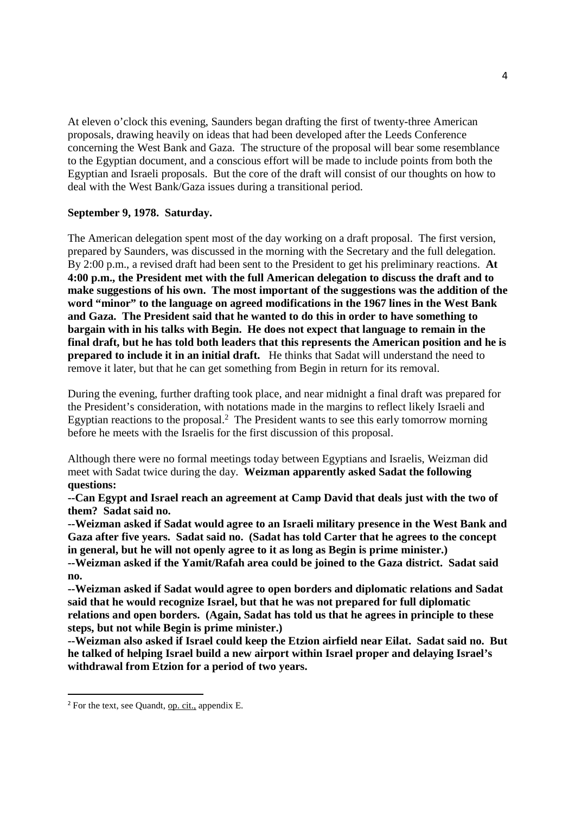At eleven o'clock this evening, Saunders began drafting the first of twenty-three American proposals, drawing heavily on ideas that had been developed after the Leeds Conference concerning the West Bank and Gaza. The structure of the proposal will bear some resemblance to the Egyptian document, and a conscious effort will be made to include points from both the Egyptian and Israeli proposals. But the core of the draft will consist of our thoughts on how to deal with the West Bank/Gaza issues during a transitional period.

## **September 9, 1978. Saturday.**

The American delegation spent most of the day working on a draft proposal. The first version, prepared by Saunders, was discussed in the morning with the Secretary and the full delegation. By 2:00 p.m., a revised draft had been sent to the President to get his preliminary reactions. **At 4:00 p.m., the President met with the full American delegation to discuss the draft and to make suggestions of his own. The most important of the suggestions was the addition of the word "minor" to the language on agreed modifications in the 1967 lines in the West Bank and Gaza. The President said that he wanted to do this in order to have something to bargain with in his talks with Begin. He does not expect that language to remain in the final draft, but he has told both leaders that this represents the American position and he is prepared to include it in an initial draft.** He thinks that Sadat will understand the need to remove it later, but that he can get something from Begin in return for its removal.

During the evening, further drafting took place, and near midnight a final draft was prepared for the President's consideration, with notations made in the margins to reflect likely Israeli and Egyptian reactions to the proposal.<sup>2</sup> The President wants to see this early tomorrow morning before he meets with the Israelis for the first discussion of this proposal.

Although there were no formal meetings today between Egyptians and Israelis, Weizman did meet with Sadat twice during the day. **Weizman apparently asked Sadat the following questions:** 

**--Can Egypt and Israel reach an agreement at Camp David that deals just with the two of them? Sadat said no.** 

**--Weizman asked if Sadat would agree to an Israeli military presence in the West Bank and Gaza after five years. Sadat said no. (Sadat has told Carter that he agrees to the concept in general, but he will not openly agree to it as long as Begin is prime minister.)** 

**--Weizman asked if the Yamit/Rafah area could be joined to the Gaza district. Sadat said no.** 

**--Weizman asked if Sadat would agree to open borders and diplomatic relations and Sadat said that he would recognize Israel, but that he was not prepared for full diplomatic relations and open borders. (Again, Sadat has told us that he agrees in principle to these steps, but not while Begin is prime minister.)** 

**--Weizman also asked if Israel could keep the Etzion airfield near Eilat. Sadat said no. But he talked of helping Israel build a new airport within Israel proper and delaying Israel's withdrawal from Etzion for a period of two years.**

<sup>&</sup>lt;sup>2</sup> For the text, see Quandt, op. cit., appendix E.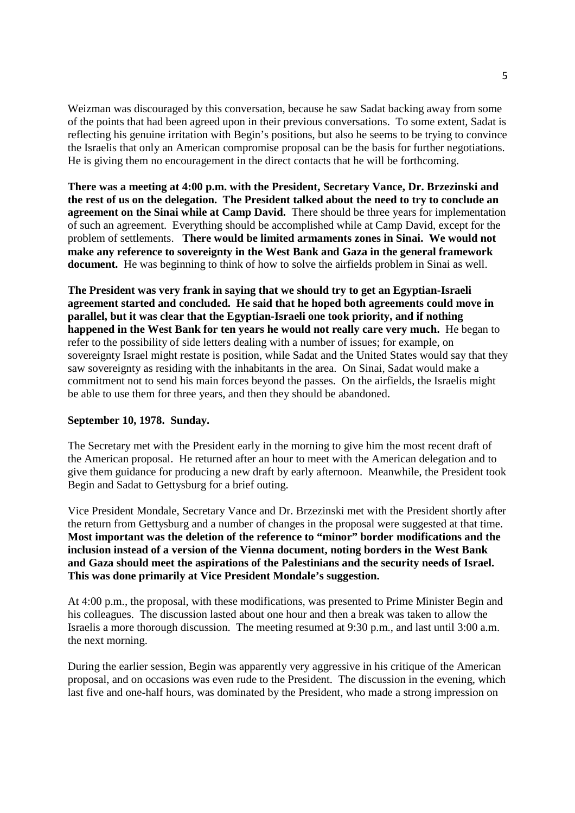Weizman was discouraged by this conversation, because he saw Sadat backing away from some of the points that had been agreed upon in their previous conversations. To some extent, Sadat is reflecting his genuine irritation with Begin's positions, but also he seems to be trying to convince the Israelis that only an American compromise proposal can be the basis for further negotiations. He is giving them no encouragement in the direct contacts that he will be forthcoming.

**There was a meeting at 4:00 p.m. with the President, Secretary Vance, Dr. Brzezinski and the rest of us on the delegation. The President talked about the need to try to conclude an agreement on the Sinai while at Camp David.** There should be three years for implementation of such an agreement. Everything should be accomplished while at Camp David, except for the problem of settlements. **There would be limited armaments zones in Sinai. We would not make any reference to sovereignty in the West Bank and Gaza in the general framework document.** He was beginning to think of how to solve the airfields problem in Sinai as well.

**The President was very frank in saying that we should try to get an Egyptian-Israeli agreement started and concluded. He said that he hoped both agreements could move in parallel, but it was clear that the Egyptian-Israeli one took priority, and if nothing happened in the West Bank for ten years he would not really care very much.** He began to refer to the possibility of side letters dealing with a number of issues; for example, on sovereignty Israel might restate is position, while Sadat and the United States would say that they saw sovereignty as residing with the inhabitants in the area. On Sinai, Sadat would make a commitment not to send his main forces beyond the passes. On the airfields, the Israelis might be able to use them for three years, and then they should be abandoned.

## **September 10, 1978. Sunday.**

The Secretary met with the President early in the morning to give him the most recent draft of the American proposal. He returned after an hour to meet with the American delegation and to give them guidance for producing a new draft by early afternoon. Meanwhile, the President took Begin and Sadat to Gettysburg for a brief outing.

Vice President Mondale, Secretary Vance and Dr. Brzezinski met with the President shortly after the return from Gettysburg and a number of changes in the proposal were suggested at that time. **Most important was the deletion of the reference to "minor" border modifications and the inclusion instead of a version of the Vienna document, noting borders in the West Bank and Gaza should meet the aspirations of the Palestinians and the security needs of Israel. This was done primarily at Vice President Mondale's suggestion.** 

At 4:00 p.m., the proposal, with these modifications, was presented to Prime Minister Begin and his colleagues. The discussion lasted about one hour and then a break was taken to allow the Israelis a more thorough discussion. The meeting resumed at 9:30 p.m., and last until 3:00 a.m. the next morning.

During the earlier session, Begin was apparently very aggressive in his critique of the American proposal, and on occasions was even rude to the President. The discussion in the evening, which last five and one-half hours, was dominated by the President, who made a strong impression on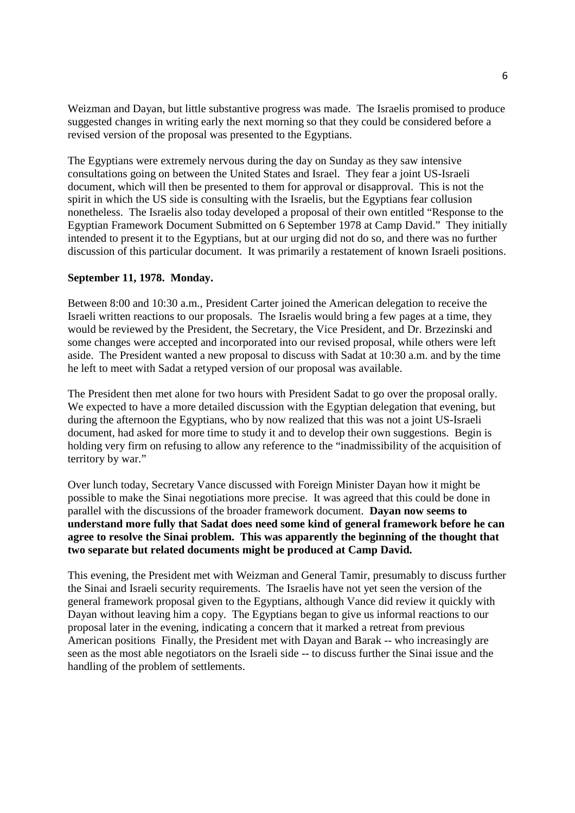Weizman and Dayan, but little substantive progress was made. The Israelis promised to produce suggested changes in writing early the next morning so that they could be considered before a revised version of the proposal was presented to the Egyptians.

The Egyptians were extremely nervous during the day on Sunday as they saw intensive consultations going on between the United States and Israel. They fear a joint US-Israeli document, which will then be presented to them for approval or disapproval. This is not the spirit in which the US side is consulting with the Israelis, but the Egyptians fear collusion nonetheless. The Israelis also today developed a proposal of their own entitled "Response to the Egyptian Framework Document Submitted on 6 September 1978 at Camp David." They initially intended to present it to the Egyptians, but at our urging did not do so, and there was no further discussion of this particular document. It was primarily a restatement of known Israeli positions.

#### **September 11, 1978. Monday.**

Between 8:00 and 10:30 a.m., President Carter joined the American delegation to receive the Israeli written reactions to our proposals. The Israelis would bring a few pages at a time, they would be reviewed by the President, the Secretary, the Vice President, and Dr. Brzezinski and some changes were accepted and incorporated into our revised proposal, while others were left aside. The President wanted a new proposal to discuss with Sadat at 10:30 a.m. and by the time he left to meet with Sadat a retyped version of our proposal was available.

The President then met alone for two hours with President Sadat to go over the proposal orally. We expected to have a more detailed discussion with the Egyptian delegation that evening, but during the afternoon the Egyptians, who by now realized that this was not a joint US-Israeli document, had asked for more time to study it and to develop their own suggestions. Begin is holding very firm on refusing to allow any reference to the "inadmissibility of the acquisition of territory by war."

Over lunch today, Secretary Vance discussed with Foreign Minister Dayan how it might be possible to make the Sinai negotiations more precise. It was agreed that this could be done in parallel with the discussions of the broader framework document. **Dayan now seems to understand more fully that Sadat does need some kind of general framework before he can agree to resolve the Sinai problem. This was apparently the beginning of the thought that two separate but related documents might be produced at Camp David.** 

This evening, the President met with Weizman and General Tamir, presumably to discuss further the Sinai and Israeli security requirements. The Israelis have not yet seen the version of the general framework proposal given to the Egyptians, although Vance did review it quickly with Dayan without leaving him a copy. The Egyptians began to give us informal reactions to our proposal later in the evening, indicating a concern that it marked a retreat from previous American positions Finally, the President met with Dayan and Barak -- who increasingly are seen as the most able negotiators on the Israeli side -- to discuss further the Sinai issue and the handling of the problem of settlements.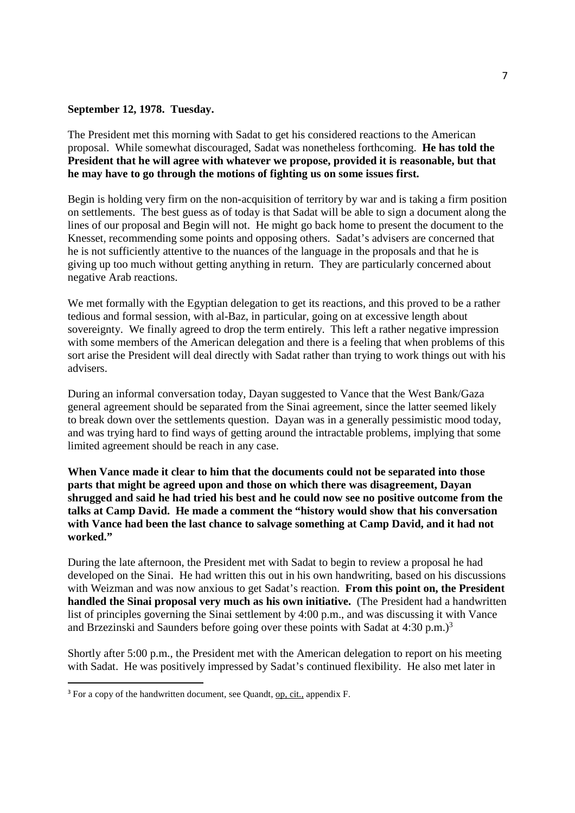#### **September 12, 1978. Tuesday.**

The President met this morning with Sadat to get his considered reactions to the American proposal. While somewhat discouraged, Sadat was nonetheless forthcoming. **He has told the President that he will agree with whatever we propose, provided it is reasonable, but that he may have to go through the motions of fighting us on some issues first.** 

Begin is holding very firm on the non-acquisition of territory by war and is taking a firm position on settlements. The best guess as of today is that Sadat will be able to sign a document along the lines of our proposal and Begin will not. He might go back home to present the document to the Knesset, recommending some points and opposing others. Sadat's advisers are concerned that he is not sufficiently attentive to the nuances of the language in the proposals and that he is giving up too much without getting anything in return. They are particularly concerned about negative Arab reactions.

We met formally with the Egyptian delegation to get its reactions, and this proved to be a rather tedious and formal session, with al-Baz, in particular, going on at excessive length about sovereignty. We finally agreed to drop the term entirely. This left a rather negative impression with some members of the American delegation and there is a feeling that when problems of this sort arise the President will deal directly with Sadat rather than trying to work things out with his advisers.

During an informal conversation today, Dayan suggested to Vance that the West Bank/Gaza general agreement should be separated from the Sinai agreement, since the latter seemed likely to break down over the settlements question. Dayan was in a generally pessimistic mood today, and was trying hard to find ways of getting around the intractable problems, implying that some limited agreement should be reach in any case.

**When Vance made it clear to him that the documents could not be separated into those parts that might be agreed upon and those on which there was disagreement, Dayan shrugged and said he had tried his best and he could now see no positive outcome from the talks at Camp David. He made a comment the "history would show that his conversation with Vance had been the last chance to salvage something at Camp David, and it had not worked."** 

During the late afternoon, the President met with Sadat to begin to review a proposal he had developed on the Sinai. He had written this out in his own handwriting, based on his discussions with Weizman and was now anxious to get Sadat's reaction. **From this point on, the President handled the Sinai proposal very much as his own initiative.** (The President had a handwritten list of principles governing the Sinai settlement by 4:00 p.m., and was discussing it with Vance and Brzezinski and Saunders before going over these points with Sadat at  $4:30 \text{ p.m.}$ )<sup>3</sup>

Shortly after 5:00 p.m., the President met with the American delegation to report on his meeting with Sadat. He was positively impressed by Sadat's continued flexibility. He also met later in

<sup>&</sup>lt;sup>3</sup> For a copy of the handwritten document, see Quandt, op, cit., appendix F.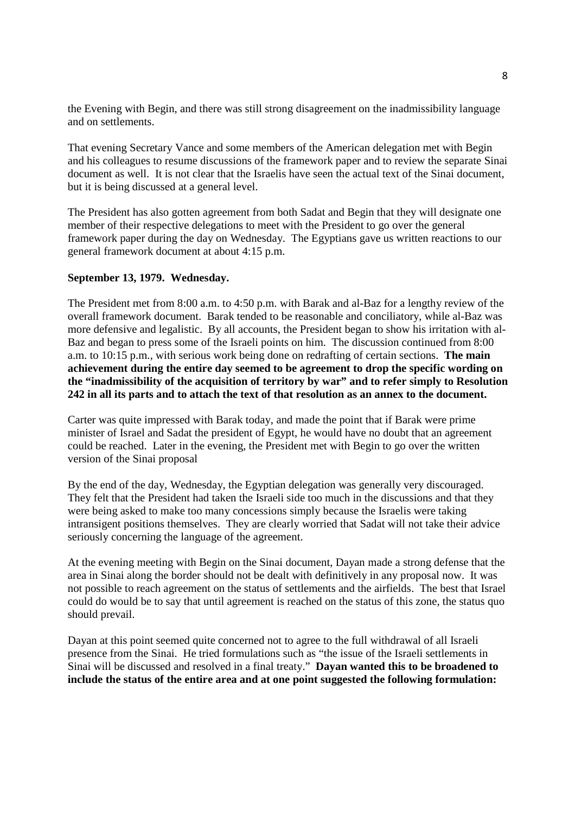the Evening with Begin, and there was still strong disagreement on the inadmissibility language and on settlements.

That evening Secretary Vance and some members of the American delegation met with Begin and his colleagues to resume discussions of the framework paper and to review the separate Sinai document as well. It is not clear that the Israelis have seen the actual text of the Sinai document, but it is being discussed at a general level.

The President has also gotten agreement from both Sadat and Begin that they will designate one member of their respective delegations to meet with the President to go over the general framework paper during the day on Wednesday. The Egyptians gave us written reactions to our general framework document at about 4:15 p.m.

#### **September 13, 1979. Wednesday.**

The President met from 8:00 a.m. to 4:50 p.m. with Barak and al-Baz for a lengthy review of the overall framework document. Barak tended to be reasonable and conciliatory, while al-Baz was more defensive and legalistic. By all accounts, the President began to show his irritation with al-Baz and began to press some of the Israeli points on him. The discussion continued from 8:00 a.m. to 10:15 p.m., with serious work being done on redrafting of certain sections. **The main achievement during the entire day seemed to be agreement to drop the specific wording on the "inadmissibility of the acquisition of territory by war" and to refer simply to Resolution 242 in all its parts and to attach the text of that resolution as an annex to the document.**

Carter was quite impressed with Barak today, and made the point that if Barak were prime minister of Israel and Sadat the president of Egypt, he would have no doubt that an agreement could be reached. Later in the evening, the President met with Begin to go over the written version of the Sinai proposal

By the end of the day, Wednesday, the Egyptian delegation was generally very discouraged. They felt that the President had taken the Israeli side too much in the discussions and that they were being asked to make too many concessions simply because the Israelis were taking intransigent positions themselves. They are clearly worried that Sadat will not take their advice seriously concerning the language of the agreement.

At the evening meeting with Begin on the Sinai document, Dayan made a strong defense that the area in Sinai along the border should not be dealt with definitively in any proposal now. It was not possible to reach agreement on the status of settlements and the airfields. The best that Israel could do would be to say that until agreement is reached on the status of this zone, the status quo should prevail.

Dayan at this point seemed quite concerned not to agree to the full withdrawal of all Israeli presence from the Sinai. He tried formulations such as "the issue of the Israeli settlements in Sinai will be discussed and resolved in a final treaty." **Dayan wanted this to be broadened to include the status of the entire area and at one point suggested the following formulation:**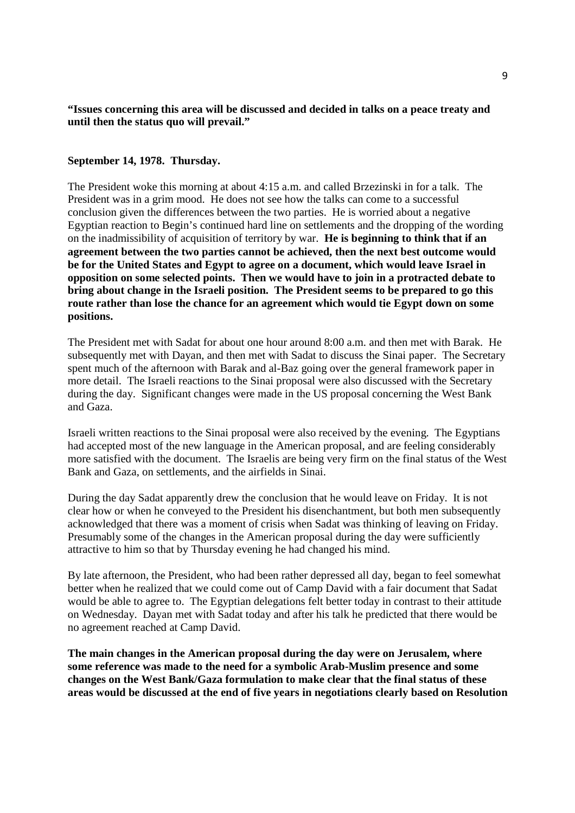### **"Issues concerning this area will be discussed and decided in talks on a peace treaty and until then the status quo will prevail."**

#### **September 14, 1978. Thursday.**

The President woke this morning at about 4:15 a.m. and called Brzezinski in for a talk. The President was in a grim mood. He does not see how the talks can come to a successful conclusion given the differences between the two parties. He is worried about a negative Egyptian reaction to Begin's continued hard line on settlements and the dropping of the wording on the inadmissibility of acquisition of territory by war. **He is beginning to think that if an agreement between the two parties cannot be achieved, then the next best outcome would be for the United States and Egypt to agree on a document, which would leave Israel in opposition on some selected points. Then we would have to join in a protracted debate to bring about change in the Israeli position. The President seems to be prepared to go this route rather than lose the chance for an agreement which would tie Egypt down on some positions.**

The President met with Sadat for about one hour around 8:00 a.m. and then met with Barak. He subsequently met with Dayan, and then met with Sadat to discuss the Sinai paper. The Secretary spent much of the afternoon with Barak and al-Baz going over the general framework paper in more detail. The Israeli reactions to the Sinai proposal were also discussed with the Secretary during the day. Significant changes were made in the US proposal concerning the West Bank and Gaza.

Israeli written reactions to the Sinai proposal were also received by the evening. The Egyptians had accepted most of the new language in the American proposal, and are feeling considerably more satisfied with the document. The Israelis are being very firm on the final status of the West Bank and Gaza, on settlements, and the airfields in Sinai.

During the day Sadat apparently drew the conclusion that he would leave on Friday. It is not clear how or when he conveyed to the President his disenchantment, but both men subsequently acknowledged that there was a moment of crisis when Sadat was thinking of leaving on Friday. Presumably some of the changes in the American proposal during the day were sufficiently attractive to him so that by Thursday evening he had changed his mind.

By late afternoon, the President, who had been rather depressed all day, began to feel somewhat better when he realized that we could come out of Camp David with a fair document that Sadat would be able to agree to. The Egyptian delegations felt better today in contrast to their attitude on Wednesday. Dayan met with Sadat today and after his talk he predicted that there would be no agreement reached at Camp David.

**The main changes in the American proposal during the day were on Jerusalem, where some reference was made to the need for a symbolic Arab-Muslim presence and some changes on the West Bank/Gaza formulation to make clear that the final status of these areas would be discussed at the end of five years in negotiations clearly based on Resolution**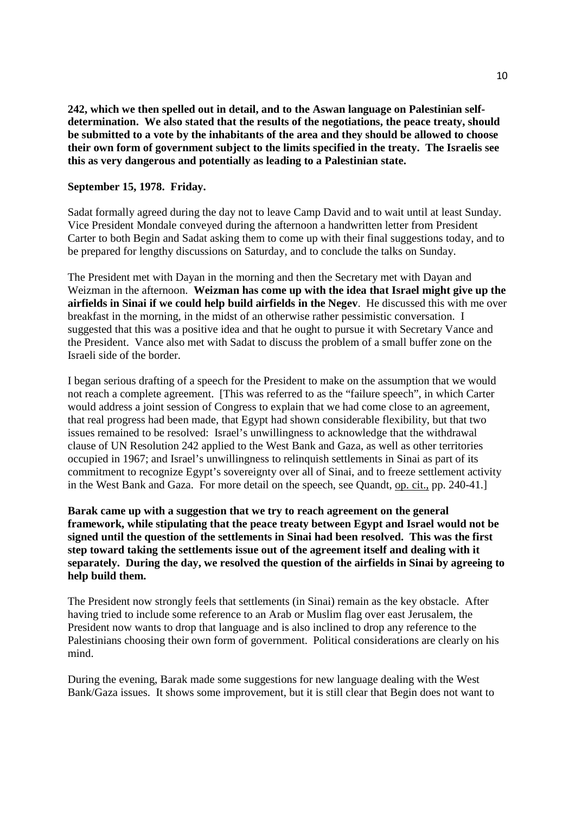**242, which we then spelled out in detail, and to the Aswan language on Palestinian selfdetermination. We also stated that the results of the negotiations, the peace treaty, should be submitted to a vote by the inhabitants of the area and they should be allowed to choose their own form of government subject to the limits specified in the treaty. The Israelis see this as very dangerous and potentially as leading to a Palestinian state.** 

#### **September 15, 1978. Friday.**

Sadat formally agreed during the day not to leave Camp David and to wait until at least Sunday. Vice President Mondale conveyed during the afternoon a handwritten letter from President Carter to both Begin and Sadat asking them to come up with their final suggestions today, and to be prepared for lengthy discussions on Saturday, and to conclude the talks on Sunday.

The President met with Dayan in the morning and then the Secretary met with Dayan and Weizman in the afternoon. **Weizman has come up with the idea that Israel might give up the airfields in Sinai if we could help build airfields in the Negev**. He discussed this with me over breakfast in the morning, in the midst of an otherwise rather pessimistic conversation. I suggested that this was a positive idea and that he ought to pursue it with Secretary Vance and the President. Vance also met with Sadat to discuss the problem of a small buffer zone on the Israeli side of the border.

I began serious drafting of a speech for the President to make on the assumption that we would not reach a complete agreement. [This was referred to as the "failure speech", in which Carter would address a joint session of Congress to explain that we had come close to an agreement, that real progress had been made, that Egypt had shown considerable flexibility, but that two issues remained to be resolved: Israel's unwillingness to acknowledge that the withdrawal clause of UN Resolution 242 applied to the West Bank and Gaza, as well as other territories occupied in 1967; and Israel's unwillingness to relinquish settlements in Sinai as part of its commitment to recognize Egypt's sovereignty over all of Sinai, and to freeze settlement activity in the West Bank and Gaza. For more detail on the speech, see Quandt, op. cit., pp. 240-41.]

**Barak came up with a suggestion that we try to reach agreement on the general framework, while stipulating that the peace treaty between Egypt and Israel would not be signed until the question of the settlements in Sinai had been resolved. This was the first step toward taking the settlements issue out of the agreement itself and dealing with it separately. During the day, we resolved the question of the airfields in Sinai by agreeing to help build them.** 

The President now strongly feels that settlements (in Sinai) remain as the key obstacle. After having tried to include some reference to an Arab or Muslim flag over east Jerusalem, the President now wants to drop that language and is also inclined to drop any reference to the Palestinians choosing their own form of government. Political considerations are clearly on his mind.

During the evening, Barak made some suggestions for new language dealing with the West Bank/Gaza issues. It shows some improvement, but it is still clear that Begin does not want to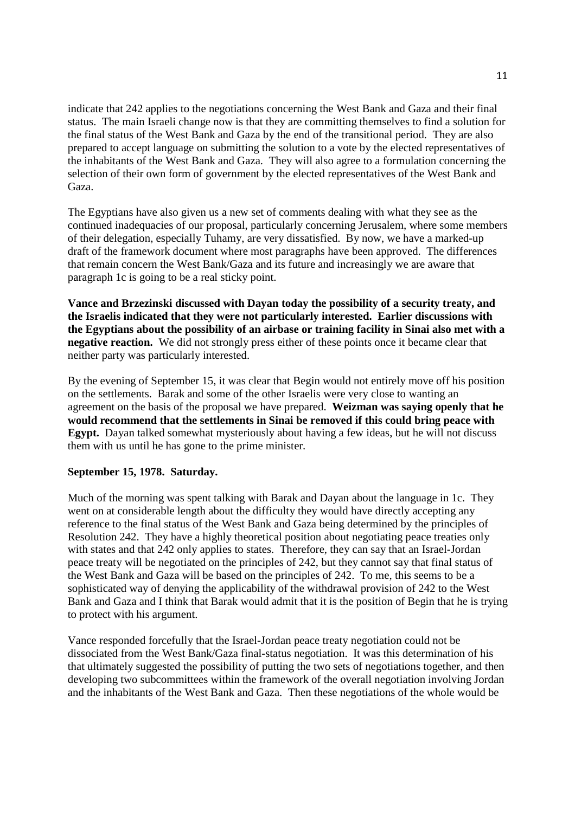indicate that 242 applies to the negotiations concerning the West Bank and Gaza and their final status. The main Israeli change now is that they are committing themselves to find a solution for the final status of the West Bank and Gaza by the end of the transitional period. They are also prepared to accept language on submitting the solution to a vote by the elected representatives of the inhabitants of the West Bank and Gaza. They will also agree to a formulation concerning the selection of their own form of government by the elected representatives of the West Bank and Gaza.

The Egyptians have also given us a new set of comments dealing with what they see as the continued inadequacies of our proposal, particularly concerning Jerusalem, where some members of their delegation, especially Tuhamy, are very dissatisfied. By now, we have a marked-up draft of the framework document where most paragraphs have been approved. The differences that remain concern the West Bank/Gaza and its future and increasingly we are aware that paragraph 1c is going to be a real sticky point.

**Vance and Brzezinski discussed with Dayan today the possibility of a security treaty, and the Israelis indicated that they were not particularly interested. Earlier discussions with the Egyptians about the possibility of an airbase or training facility in Sinai also met with a negative reaction.** We did not strongly press either of these points once it became clear that neither party was particularly interested.

By the evening of September 15, it was clear that Begin would not entirely move off his position on the settlements. Barak and some of the other Israelis were very close to wanting an agreement on the basis of the proposal we have prepared. **Weizman was saying openly that he would recommend that the settlements in Sinai be removed if this could bring peace with Egypt.** Dayan talked somewhat mysteriously about having a few ideas, but he will not discuss them with us until he has gone to the prime minister.

#### **September 15, 1978. Saturday.**

Much of the morning was spent talking with Barak and Dayan about the language in 1c. They went on at considerable length about the difficulty they would have directly accepting any reference to the final status of the West Bank and Gaza being determined by the principles of Resolution 242. They have a highly theoretical position about negotiating peace treaties only with states and that 242 only applies to states. Therefore, they can say that an Israel-Jordan peace treaty will be negotiated on the principles of 242, but they cannot say that final status of the West Bank and Gaza will be based on the principles of 242. To me, this seems to be a sophisticated way of denying the applicability of the withdrawal provision of 242 to the West Bank and Gaza and I think that Barak would admit that it is the position of Begin that he is trying to protect with his argument.

Vance responded forcefully that the Israel-Jordan peace treaty negotiation could not be dissociated from the West Bank/Gaza final-status negotiation. It was this determination of his that ultimately suggested the possibility of putting the two sets of negotiations together, and then developing two subcommittees within the framework of the overall negotiation involving Jordan and the inhabitants of the West Bank and Gaza. Then these negotiations of the whole would be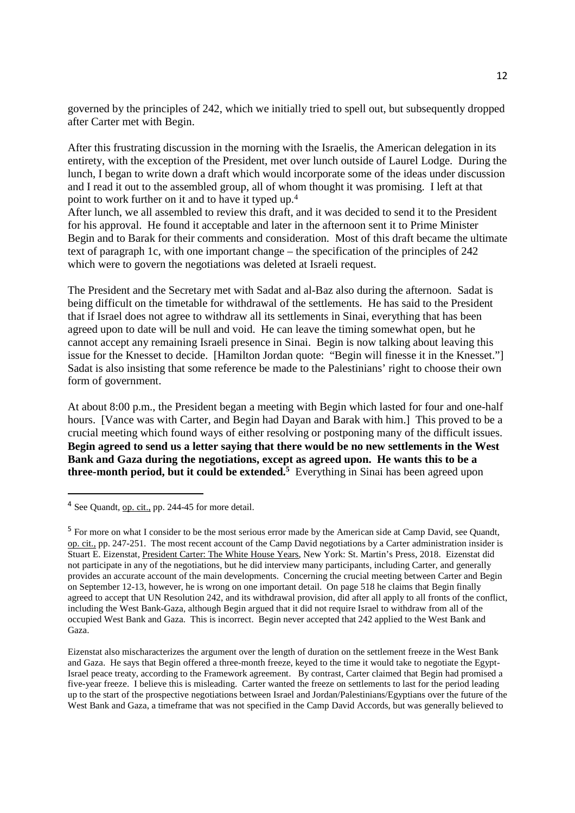governed by the principles of 242, which we initially tried to spell out, but subsequently dropped after Carter met with Begin.

After this frustrating discussion in the morning with the Israelis, the American delegation in its entirety, with the exception of the President, met over lunch outside of Laurel Lodge. During the lunch, I began to write down a draft which would incorporate some of the ideas under discussion and I read it out to the assembled group, all of whom thought it was promising. I left at that point to work further on it and to have it typed up. 4

After lunch, we all assembled to review this draft, and it was decided to send it to the President for his approval. He found it acceptable and later in the afternoon sent it to Prime Minister Begin and to Barak for their comments and consideration. Most of this draft became the ultimate text of paragraph 1c, with one important change – the specification of the principles of 242 which were to govern the negotiations was deleted at Israeli request.

The President and the Secretary met with Sadat and al-Baz also during the afternoon. Sadat is being difficult on the timetable for withdrawal of the settlements. He has said to the President that if Israel does not agree to withdraw all its settlements in Sinai, everything that has been agreed upon to date will be null and void. He can leave the timing somewhat open, but he cannot accept any remaining Israeli presence in Sinai. Begin is now talking about leaving this issue for the Knesset to decide. [Hamilton Jordan quote: "Begin will finesse it in the Knesset."] Sadat is also insisting that some reference be made to the Palestinians' right to choose their own form of government.

At about 8:00 p.m., the President began a meeting with Begin which lasted for four and one-half hours. [Vance was with Carter, and Begin had Dayan and Barak with him.] This proved to be a crucial meeting which found ways of either resolving or postponing many of the difficult issues. **Begin agreed to send us a letter saying that there would be no new settlements in the West Bank and Gaza during the negotiations, except as agreed upon. He wants this to be a three-month period, but it could be extended.<sup>5</sup>** Everything in Sinai has been agreed upon

<sup>4</sup> See Quandt, op. cit., pp. 244-45 for more detail.

<sup>5</sup> For more on what I consider to be the most serious error made by the American side at Camp David, see Quandt, op. cit., pp. 247-251. The most recent account of the Camp David negotiations by a Carter administration insider is Stuart E. Eizenstat, President Carter: The White House Years, New York: St. Martin's Press, 2018. Eizenstat did not participate in any of the negotiations, but he did interview many participants, including Carter, and generally provides an accurate account of the main developments. Concerning the crucial meeting between Carter and Begin on September 12-13, however, he is wrong on one important detail. On page 518 he claims that Begin finally agreed to accept that UN Resolution 242, and its withdrawal provision, did after all apply to all fronts of the conflict, including the West Bank-Gaza, although Begin argued that it did not require Israel to withdraw from all of the occupied West Bank and Gaza. This is incorrect. Begin never accepted that 242 applied to the West Bank and Gaza.

Eizenstat also mischaracterizes the argument over the length of duration on the settlement freeze in the West Bank and Gaza. He says that Begin offered a three-month freeze, keyed to the time it would take to negotiate the Egypt-Israel peace treaty, according to the Framework agreement. By contrast, Carter claimed that Begin had promised a five-year freeze. I believe this is misleading. Carter wanted the freeze on settlements to last for the period leading up to the start of the prospective negotiations between Israel and Jordan/Palestinians/Egyptians over the future of the West Bank and Gaza, a timeframe that was not specified in the Camp David Accords, but was generally believed to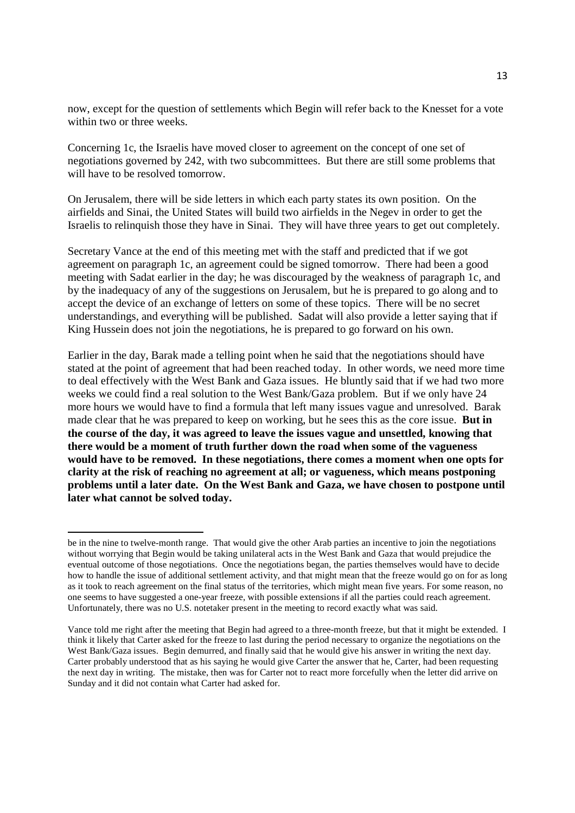now, except for the question of settlements which Begin will refer back to the Knesset for a vote within two or three weeks.

Concerning 1c, the Israelis have moved closer to agreement on the concept of one set of negotiations governed by 242, with two subcommittees. But there are still some problems that will have to be resolved tomorrow.

On Jerusalem, there will be side letters in which each party states its own position. On the airfields and Sinai, the United States will build two airfields in the Negev in order to get the Israelis to relinquish those they have in Sinai. They will have three years to get out completely.

Secretary Vance at the end of this meeting met with the staff and predicted that if we got agreement on paragraph 1c, an agreement could be signed tomorrow. There had been a good meeting with Sadat earlier in the day; he was discouraged by the weakness of paragraph 1c, and by the inadequacy of any of the suggestions on Jerusalem, but he is prepared to go along and to accept the device of an exchange of letters on some of these topics. There will be no secret understandings, and everything will be published. Sadat will also provide a letter saying that if King Hussein does not join the negotiations, he is prepared to go forward on his own.

Earlier in the day, Barak made a telling point when he said that the negotiations should have stated at the point of agreement that had been reached today. In other words, we need more time to deal effectively with the West Bank and Gaza issues. He bluntly said that if we had two more weeks we could find a real solution to the West Bank/Gaza problem. But if we only have 24 more hours we would have to find a formula that left many issues vague and unresolved. Barak made clear that he was prepared to keep on working, but he sees this as the core issue. **But in the course of the day, it was agreed to leave the issues vague and unsettled, knowing that there would be a moment of truth further down the road when some of the vagueness would have to be removed. In these negotiations, there comes a moment when one opts for clarity at the risk of reaching no agreement at all; or vagueness, which means postponing problems until a later date. On the West Bank and Gaza, we have chosen to postpone until later what cannot be solved today.** 

be in the nine to twelve-month range. That would give the other Arab parties an incentive to join the negotiations without worrying that Begin would be taking unilateral acts in the West Bank and Gaza that would prejudice the eventual outcome of those negotiations. Once the negotiations began, the parties themselves would have to decide how to handle the issue of additional settlement activity, and that might mean that the freeze would go on for as long as it took to reach agreement on the final status of the territories, which might mean five years. For some reason, no one seems to have suggested a one-year freeze, with possible extensions if all the parties could reach agreement. Unfortunately, there was no U.S. notetaker present in the meeting to record exactly what was said.

Vance told me right after the meeting that Begin had agreed to a three-month freeze, but that it might be extended. I think it likely that Carter asked for the freeze to last during the period necessary to organize the negotiations on the West Bank/Gaza issues. Begin demurred, and finally said that he would give his answer in writing the next day. Carter probably understood that as his saying he would give Carter the answer that he, Carter, had been requesting the next day in writing. The mistake, then was for Carter not to react more forcefully when the letter did arrive on Sunday and it did not contain what Carter had asked for.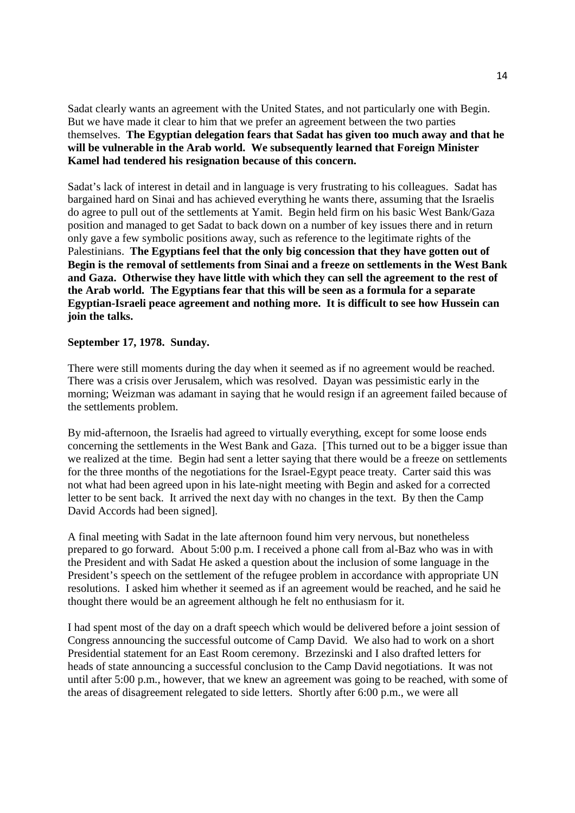Sadat clearly wants an agreement with the United States, and not particularly one with Begin. But we have made it clear to him that we prefer an agreement between the two parties themselves. **The Egyptian delegation fears that Sadat has given too much away and that he will be vulnerable in the Arab world. We subsequently learned that Foreign Minister Kamel had tendered his resignation because of this concern.**

Sadat's lack of interest in detail and in language is very frustrating to his colleagues. Sadat has bargained hard on Sinai and has achieved everything he wants there, assuming that the Israelis do agree to pull out of the settlements at Yamit. Begin held firm on his basic West Bank/Gaza position and managed to get Sadat to back down on a number of key issues there and in return only gave a few symbolic positions away, such as reference to the legitimate rights of the Palestinians. **The Egyptians feel that the only big concession that they have gotten out of Begin is the removal of settlements from Sinai and a freeze on settlements in the West Bank and Gaza. Otherwise they have little with which they can sell the agreement to the rest of the Arab world. The Egyptians fear that this will be seen as a formula for a separate Egyptian-Israeli peace agreement and nothing more. It is difficult to see how Hussein can join the talks.**

#### **September 17, 1978. Sunday.**

There were still moments during the day when it seemed as if no agreement would be reached. There was a crisis over Jerusalem, which was resolved. Dayan was pessimistic early in the morning; Weizman was adamant in saying that he would resign if an agreement failed because of the settlements problem.

By mid-afternoon, the Israelis had agreed to virtually everything, except for some loose ends concerning the settlements in the West Bank and Gaza. [This turned out to be a bigger issue than we realized at the time. Begin had sent a letter saying that there would be a freeze on settlements for the three months of the negotiations for the Israel-Egypt peace treaty. Carter said this was not what had been agreed upon in his late-night meeting with Begin and asked for a corrected letter to be sent back. It arrived the next day with no changes in the text. By then the Camp David Accords had been signed].

A final meeting with Sadat in the late afternoon found him very nervous, but nonetheless prepared to go forward. About 5:00 p.m. I received a phone call from al-Baz who was in with the President and with Sadat He asked a question about the inclusion of some language in the President's speech on the settlement of the refugee problem in accordance with appropriate UN resolutions. I asked him whether it seemed as if an agreement would be reached, and he said he thought there would be an agreement although he felt no enthusiasm for it.

I had spent most of the day on a draft speech which would be delivered before a joint session of Congress announcing the successful outcome of Camp David. We also had to work on a short Presidential statement for an East Room ceremony. Brzezinski and I also drafted letters for heads of state announcing a successful conclusion to the Camp David negotiations. It was not until after 5:00 p.m., however, that we knew an agreement was going to be reached, with some of the areas of disagreement relegated to side letters. Shortly after 6:00 p.m., we were all